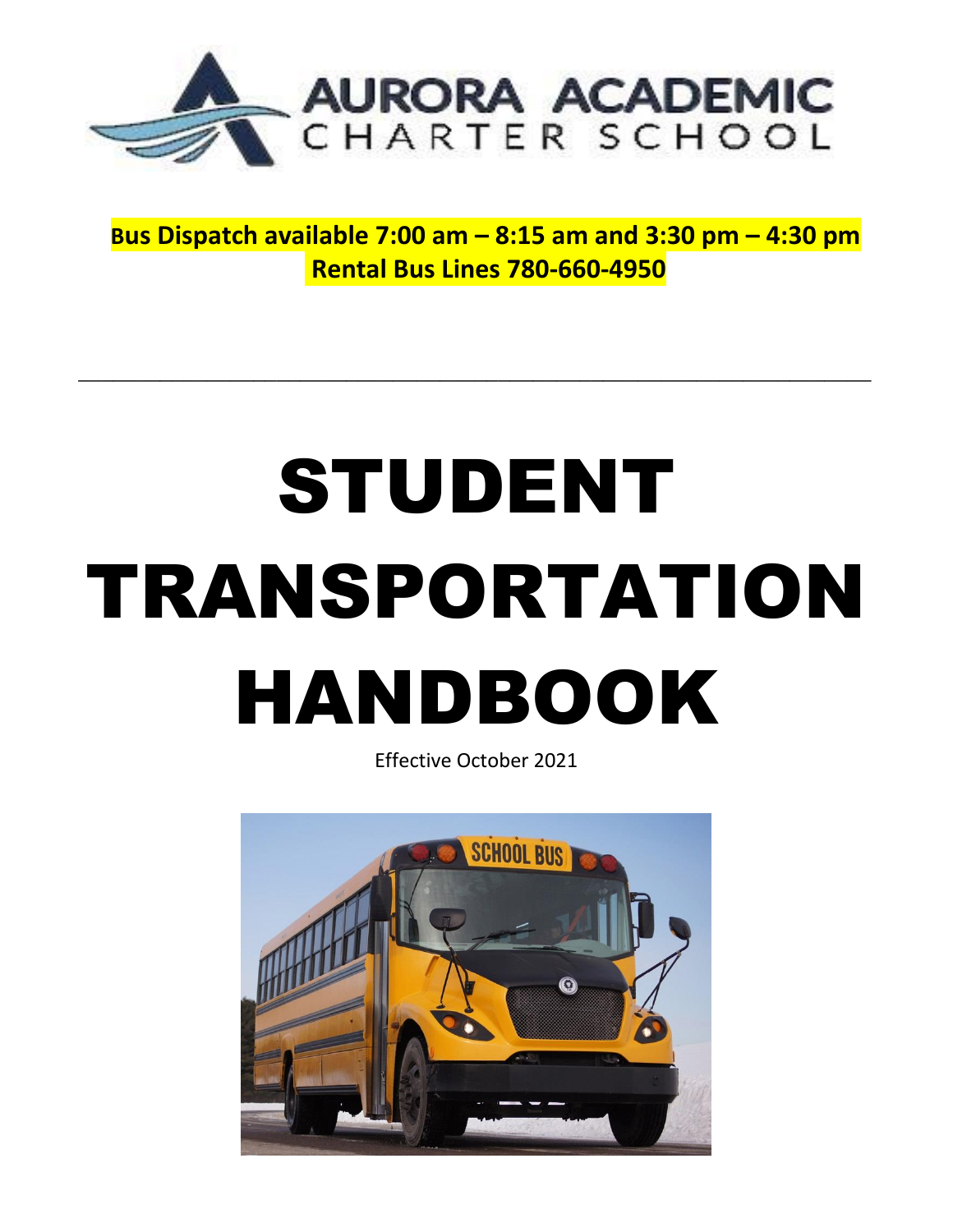

**Bus Dispatch available 7:00 am – 8:15 am and 3:30 pm – 4:30 pm Rental Bus Lines 780-660-4950**

\_\_\_\_\_\_\_\_\_\_\_\_\_\_\_\_\_\_\_\_\_\_\_\_\_\_\_\_\_\_\_\_\_\_\_\_\_\_\_\_\_\_\_\_\_\_\_\_\_\_\_\_\_\_\_\_\_\_\_\_\_\_\_\_\_\_\_\_

# STUDENT TRANSPORTATION HANDBOOK

Effective October 2021

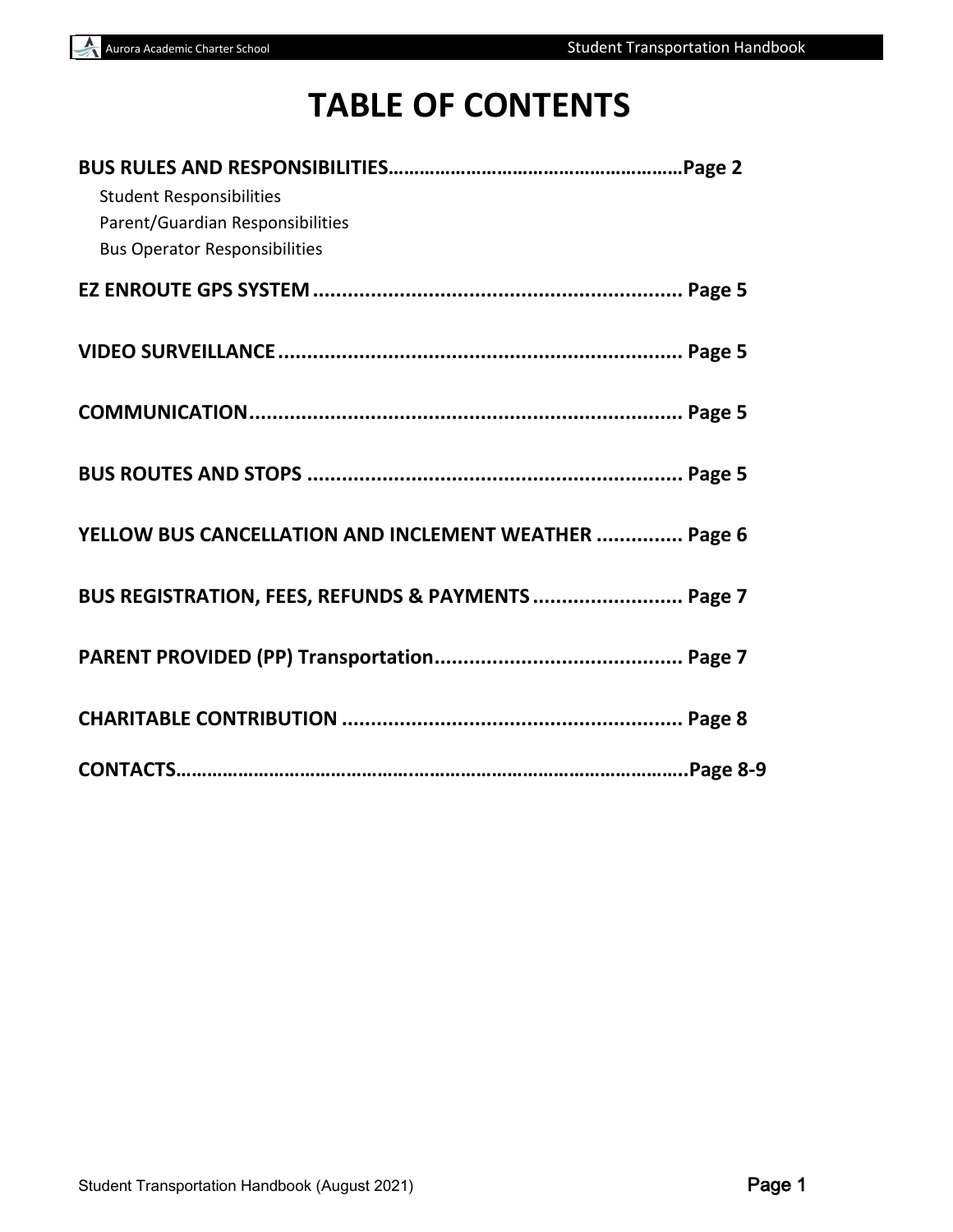# **TABLE OF CONTENTS**

| <b>Student Responsibilities</b>                       |  |
|-------------------------------------------------------|--|
| Parent/Guardian Responsibilities                      |  |
| <b>Bus Operator Responsibilities</b>                  |  |
|                                                       |  |
|                                                       |  |
|                                                       |  |
|                                                       |  |
| YELLOW BUS CANCELLATION AND INCLEMENT WEATHER  Page 6 |  |
| BUS REGISTRATION, FEES, REFUNDS & PAYMENTS  Page 7    |  |
|                                                       |  |
|                                                       |  |
|                                                       |  |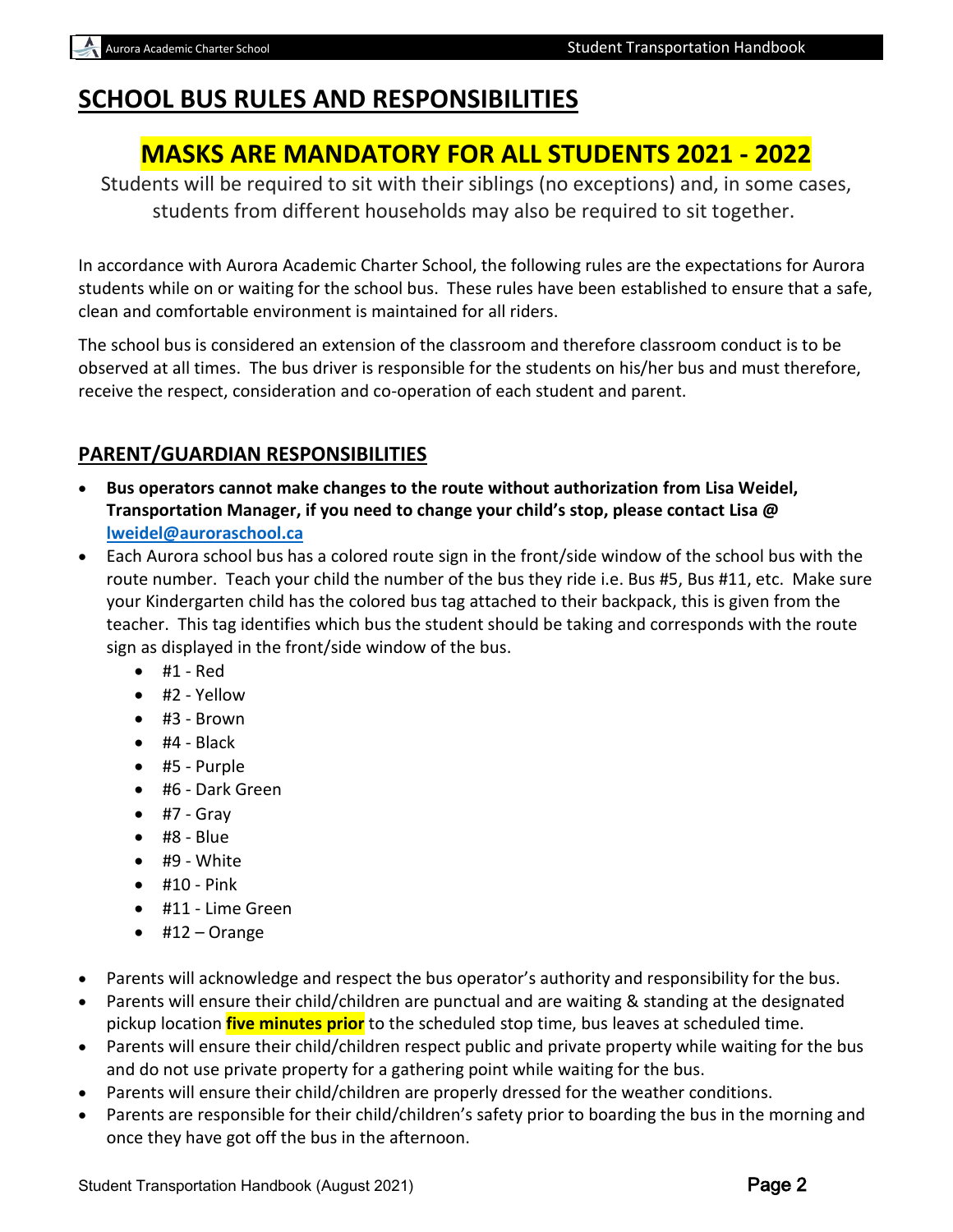# **SCHOOL BUS RULES AND RESPONSIBILITIES**

# **MASKS ARE MANDATORY FOR ALL STUDENTS 2021 - 2022**

Students will be required to sit with their siblings (no exceptions) and, in some cases, students from different households may also be required to sit together.

In accordance with Aurora Academic Charter School, the following rules are the expectations for Aurora students while on or waiting for the school bus. These rules have been established to ensure that a safe, clean and comfortable environment is maintained for all riders.

The school bus is considered an extension of the classroom and therefore classroom conduct is to be observed at all times. The bus driver is responsible for the students on his/her bus and must therefore, receive the respect, consideration and co-operation of each student and parent.

#### **PARENT/GUARDIAN RESPONSIBILITIES**

- **Bus operators cannot make changes to the route without authorization from Lisa Weidel, Transportation Manager, if you need to change your child's stop, please contact Lisa @ lweidel@auroraschool.ca**
- Each Aurora school bus has a colored route sign in the front/side window of the school bus with the route number. Teach your child the number of the bus they ride i.e. Bus #5, Bus #11, etc. Make sure your Kindergarten child has the colored bus tag attached to their backpack, this is given from the teacher. This tag identifies which bus the student should be taking and corresponds with the route sign as displayed in the front/side window of the bus.
	- $•$  #1 Red
	- #2 Yellow
	- $\bullet$  #3 Brown
	- $#4 Black$
	- #5 Purple
	- #6 Dark Green
	- $\bullet$  #7 Gray
	- $•$  #8 Blue
	- $\bullet$  #9 White
	- $\bullet$  #10 Pink
	- #11 Lime Green
	- $\bullet$  #12 Orange
- Parents will acknowledge and respect the bus operator's authority and responsibility for the bus.
- Parents will ensure their child/children are punctual and are waiting & standing at the designated pickup location **five minutes prior** to the scheduled stop time, bus leaves at scheduled time.
- Parents will ensure their child/children respect public and private property while waiting for the bus and do not use private property for a gathering point while waiting for the bus.
- Parents will ensure their child/children are properly dressed for the weather conditions.
- Parents are responsible for their child/children's safety prior to boarding the bus in the morning and once they have got off the bus in the afternoon.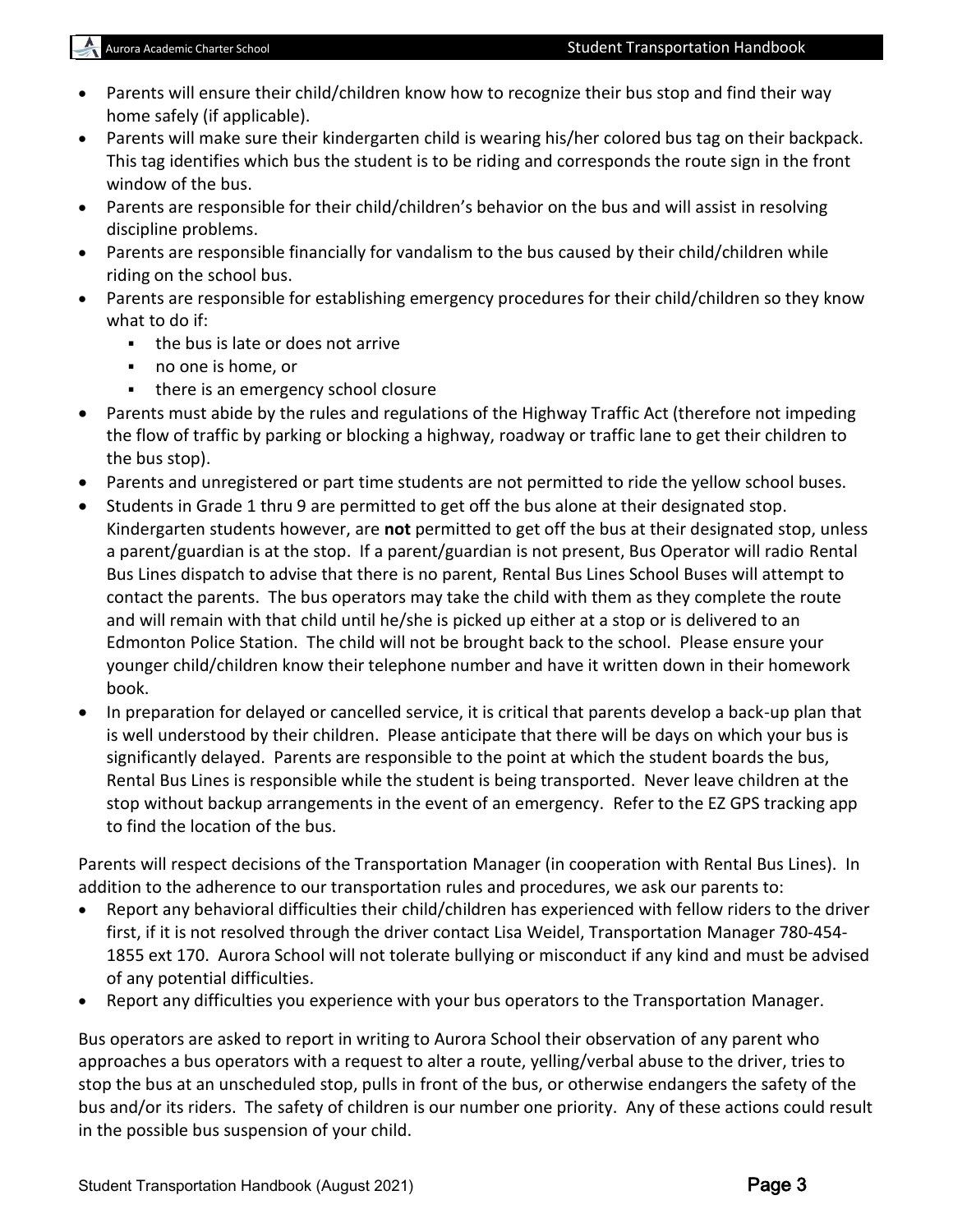- Parents will ensure their child/children know how to recognize their bus stop and find their way home safely (if applicable).
- Parents will make sure their kindergarten child is wearing his/her colored bus tag on their backpack. This tag identifies which bus the student is to be riding and corresponds the route sign in the front window of the bus.
- Parents are responsible for their child/children's behavior on the bus and will assist in resolving discipline problems.
- Parents are responsible financially for vandalism to the bus caused by their child/children while riding on the school bus.
- Parents are responsible for establishing emergency procedures for their child/children so they know what to do if:
	- the bus is late or does not arrive
	- no one is home, or
	- there is an emergency school closure
- Parents must abide by the rules and regulations of the Highway Traffic Act (therefore not impeding the flow of traffic by parking or blocking a highway, roadway or traffic lane to get their children to the bus stop).
- Parents and unregistered or part time students are not permitted to ride the yellow school buses.
- Students in Grade 1 thru 9 are permitted to get off the bus alone at their designated stop. Kindergarten students however, are **not** permitted to get off the bus at their designated stop, unless a parent/guardian is at the stop. If a parent/guardian is not present, Bus Operator will radio Rental Bus Lines dispatch to advise that there is no parent, Rental Bus Lines School Buses will attempt to contact the parents. The bus operators may take the child with them as they complete the route and will remain with that child until he/she is picked up either at a stop or is delivered to an Edmonton Police Station. The child will not be brought back to the school. Please ensure your younger child/children know their telephone number and have it written down in their homework book.
- In preparation for delayed or cancelled service, it is critical that parents develop a back-up plan that is well understood by their children. Please anticipate that there will be days on which your bus is significantly delayed. Parents are responsible to the point at which the student boards the bus, Rental Bus Lines is responsible while the student is being transported. Never leave children at the stop without backup arrangements in the event of an emergency. Refer to the EZ GPS tracking app to find the location of the bus.

Parents will respect decisions of the Transportation Manager (in cooperation with Rental Bus Lines). In addition to the adherence to our transportation rules and procedures, we ask our parents to:

- Report any behavioral difficulties their child/children has experienced with fellow riders to the driver first, if it is not resolved through the driver contact Lisa Weidel, Transportation Manager 780-454- 1855 ext 170. Aurora School will not tolerate bullying or misconduct if any kind and must be advised of any potential difficulties.
- Report any difficulties you experience with your bus operators to the Transportation Manager.

Bus operators are asked to report in writing to Aurora School their observation of any parent who approaches a bus operators with a request to alter a route, yelling/verbal abuse to the driver, tries to stop the bus at an unscheduled stop, pulls in front of the bus, or otherwise endangers the safety of the bus and/or its riders. The safety of children is our number one priority. Any of these actions could result in the possible bus suspension of your child.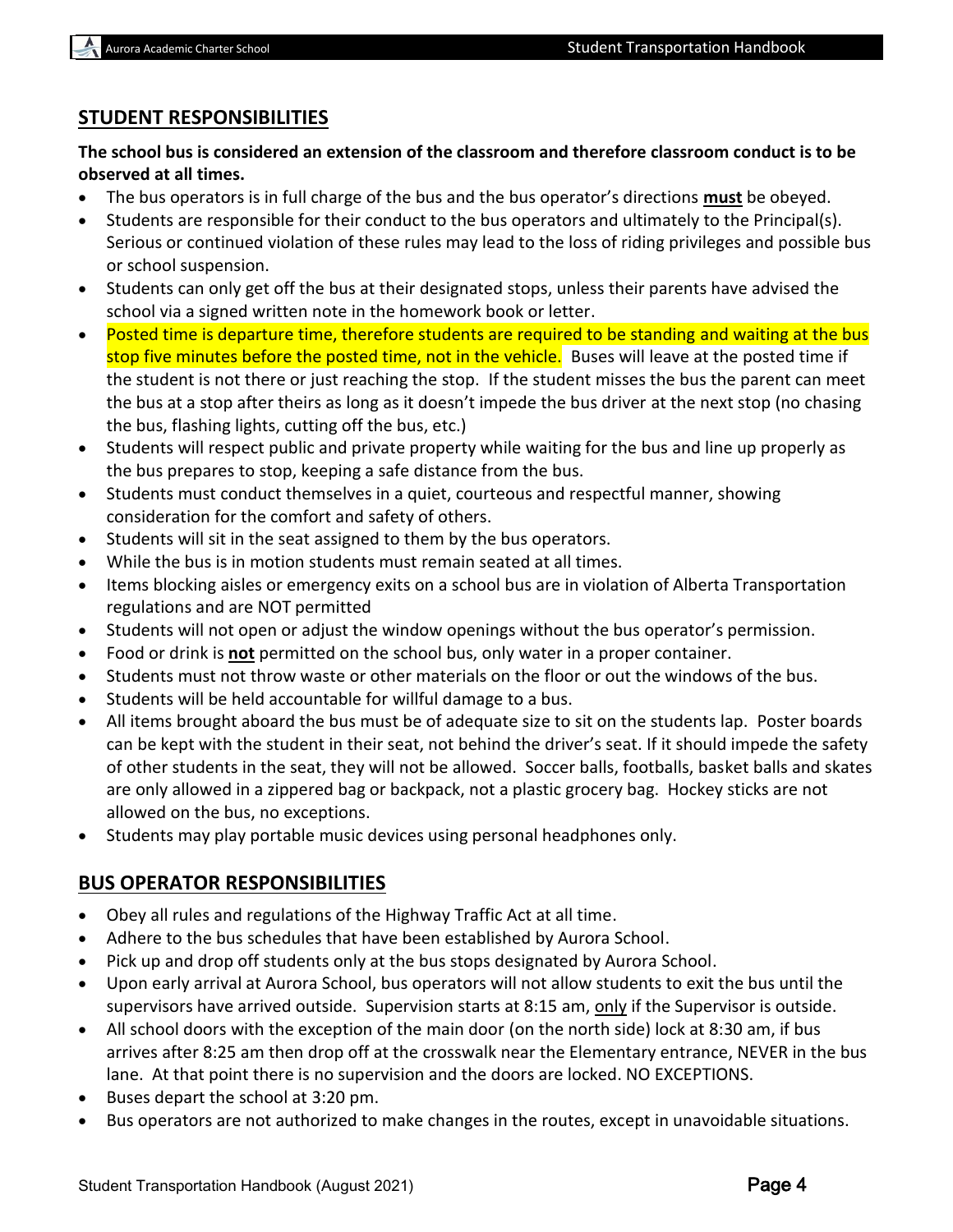#### **STUDENT RESPONSIBILITIES**

#### **The school bus is considered an extension of the classroom and therefore classroom conduct is to be observed at all times.**

- The bus operators is in full charge of the bus and the bus operator's directions **must** be obeyed.
- Students are responsible for their conduct to the bus operators and ultimately to the Principal(s). Serious or continued violation of these rules may lead to the loss of riding privileges and possible bus or school suspension.
- Students can only get off the bus at their designated stops, unless their parents have advised the school via a signed written note in the homework book or letter.
- Posted time is departure time, therefore students are required to be standing and waiting at the bus stop five minutes before the posted time, not in the vehicle. Buses will leave at the posted time if the student is not there or just reaching the stop. If the student misses the bus the parent can meet the bus at a stop after theirs as long as it doesn't impede the bus driver at the next stop (no chasing the bus, flashing lights, cutting off the bus, etc.)
- Students will respect public and private property while waiting for the bus and line up properly as the bus prepares to stop, keeping a safe distance from the bus.
- Students must conduct themselves in a quiet, courteous and respectful manner, showing consideration for the comfort and safety of others.
- Students will sit in the seat assigned to them by the bus operators.
- While the bus is in motion students must remain seated at all times.
- Items blocking aisles or emergency exits on a school bus are in violation of Alberta Transportation regulations and are NOT permitted
- Students will not open or adjust the window openings without the bus operator's permission.
- Food or drink is **not** permitted on the school bus, only water in a proper container.
- Students must not throw waste or other materials on the floor or out the windows of the bus.
- Students will be held accountable for willful damage to a bus.
- All items brought aboard the bus must be of adequate size to sit on the students lap. Poster boards can be kept with the student in their seat, not behind the driver's seat. If it should impede the safety of other students in the seat, they will not be allowed. Soccer balls, footballs, basket balls and skates are only allowed in a zippered bag or backpack, not a plastic grocery bag. Hockey sticks are not allowed on the bus, no exceptions.
- Students may play portable music devices using personal headphones only.

#### **BUS OPERATOR RESPONSIBILITIES**

- Obey all rules and regulations of the Highway Traffic Act at all time.
- Adhere to the bus schedules that have been established by Aurora School.
- Pick up and drop off students only at the bus stops designated by Aurora School.
- Upon early arrival at Aurora School, bus operators will not allow students to exit the bus until the supervisors have arrived outside. Supervision starts at 8:15 am,  $\frac{only}{}$  if the Supervisor is outside.
- All school doors with the exception of the main door (on the north side) lock at 8:30 am, if bus arrives after 8:25 am then drop off at the crosswalk near the Elementary entrance, NEVER in the bus lane. At that point there is no supervision and the doors are locked. NO EXCEPTIONS.
- Buses depart the school at 3:20 pm.
- Bus operators are not authorized to make changes in the routes, except in unavoidable situations.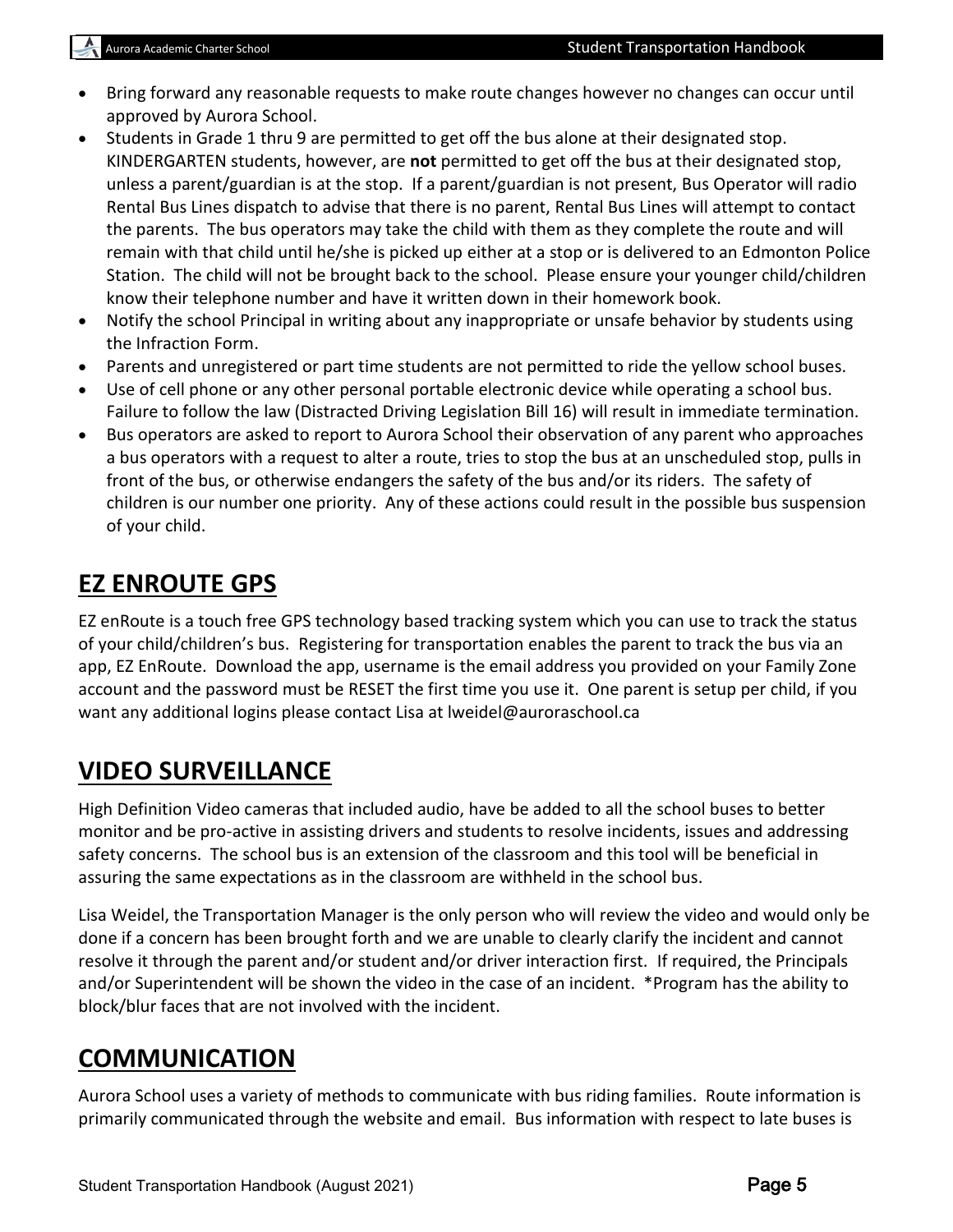- Bring forward any reasonable requests to make route changes however no changes can occur until approved by Aurora School.
- Students in Grade 1 thru 9 are permitted to get off the bus alone at their designated stop. KINDERGARTEN students, however, are **not** permitted to get off the bus at their designated stop, unless a parent/guardian is at the stop. If a parent/guardian is not present, Bus Operator will radio Rental Bus Lines dispatch to advise that there is no parent, Rental Bus Lines will attempt to contact the parents. The bus operators may take the child with them as they complete the route and will remain with that child until he/she is picked up either at a stop or is delivered to an Edmonton Police Station. The child will not be brought back to the school. Please ensure your younger child/children know their telephone number and have it written down in their homework book.
- Notify the school Principal in writing about any inappropriate or unsafe behavior by students using the Infraction Form.
- Parents and unregistered or part time students are not permitted to ride the yellow school buses.
- Use of cell phone or any other personal portable electronic device while operating a school bus. Failure to follow the law (Distracted Driving Legislation Bill 16) will result in immediate termination.
- Bus operators are asked to report to Aurora School their observation of any parent who approaches a bus operators with a request to alter a route, tries to stop the bus at an unscheduled stop, pulls in front of the bus, or otherwise endangers the safety of the bus and/or its riders. The safety of children is our number one priority. Any of these actions could result in the possible bus suspension of your child.

# **EZ ENROUTE GPS**

EZ enRoute is a touch free GPS technology based tracking system which you can use to track the status of your child/children's bus. Registering for transportation enables the parent to track the bus via an app, EZ EnRoute. Download the app, username is the email address you provided on your Family Zone account and the password must be RESET the first time you use it. One parent is setup per child, if you want any additional logins please contact Lisa at lweidel@auroraschool.ca

# **VIDEO SURVEILLANCE**

High Definition Video cameras that included audio, have be added to all the school buses to better monitor and be pro-active in assisting drivers and students to resolve incidents, issues and addressing safety concerns. The school bus is an extension of the classroom and this tool will be beneficial in assuring the same expectations as in the classroom are withheld in the school bus.

Lisa Weidel, the Transportation Manager is the only person who will review the video and would only be done if a concern has been brought forth and we are unable to clearly clarify the incident and cannot resolve it through the parent and/or student and/or driver interaction first. If required, the Principals and/or Superintendent will be shown the video in the case of an incident. \*Program has the ability to block/blur faces that are not involved with the incident.

# **COMMUNICATION**

Aurora School uses a variety of methods to communicate with bus riding families. Route information is primarily communicated through the website and email. Bus information with respect to late buses is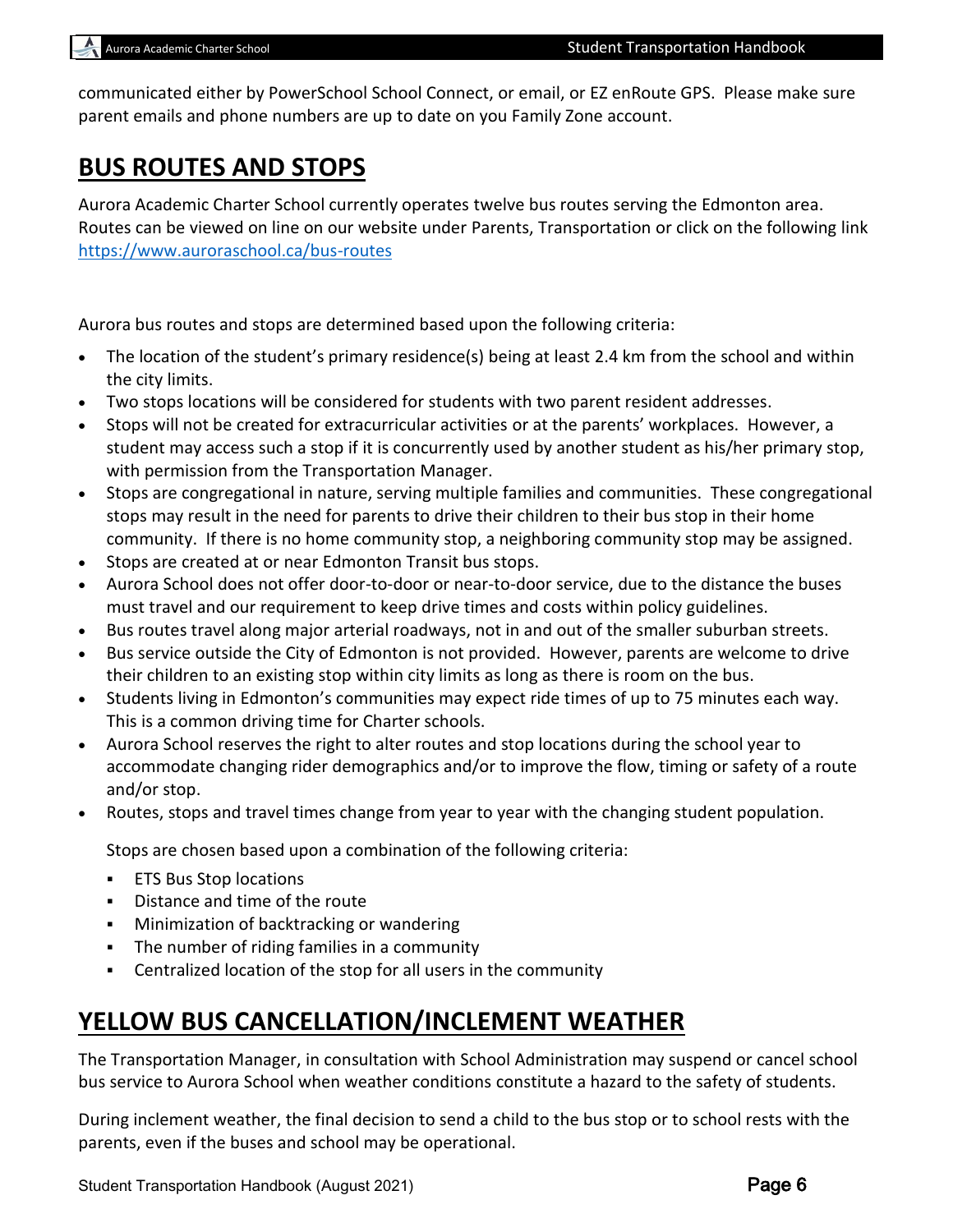communicated either by PowerSchool School Connect, or email, or EZ enRoute GPS. Please make sure parent emails and phone numbers are up to date on you Family Zone account.

# **BUS ROUTES AND STOPS**

Aurora Academic Charter School currently operates twelve bus routes serving the Edmonton area. Routes can be viewed on line on our website under Parents, Transportation or click on the following link https://www.auroraschool.ca/bus-routes

Aurora bus routes and stops are determined based upon the following criteria:

- The location of the student's primary residence(s) being at least 2.4 km from the school and within the city limits.
- Two stops locations will be considered for students with two parent resident addresses.
- Stops will not be created for extracurricular activities or at the parents' workplaces. However, a student may access such a stop if it is concurrently used by another student as his/her primary stop, with permission from the Transportation Manager.
- Stops are congregational in nature, serving multiple families and communities. These congregational stops may result in the need for parents to drive their children to their bus stop in their home community. If there is no home community stop, a neighboring community stop may be assigned.
- Stops are created at or near Edmonton Transit bus stops.
- Aurora School does not offer door-to-door or near-to-door service, due to the distance the buses must travel and our requirement to keep drive times and costs within policy guidelines.
- Bus routes travel along major arterial roadways, not in and out of the smaller suburban streets.
- Bus service outside the City of Edmonton is not provided. However, parents are welcome to drive their children to an existing stop within city limits as long as there is room on the bus.
- Students living in Edmonton's communities may expect ride times of up to 75 minutes each way. This is a common driving time for Charter schools.
- Aurora School reserves the right to alter routes and stop locations during the school year to accommodate changing rider demographics and/or to improve the flow, timing or safety of a route and/or stop.
- Routes, stops and travel times change from year to year with the changing student population.

Stops are chosen based upon a combination of the following criteria:

- ETS Bus Stop locations
- Distance and time of the route
- Minimization of backtracking or wandering
- The number of riding families in a community
- Centralized location of the stop for all users in the community

# **YELLOW BUS CANCELLATION/INCLEMENT WEATHER**

The Transportation Manager, in consultation with School Administration may suspend or cancel school bus service to Aurora School when weather conditions constitute a hazard to the safety of students.

During inclement weather, the final decision to send a child to the bus stop or to school rests with the parents, even if the buses and school may be operational.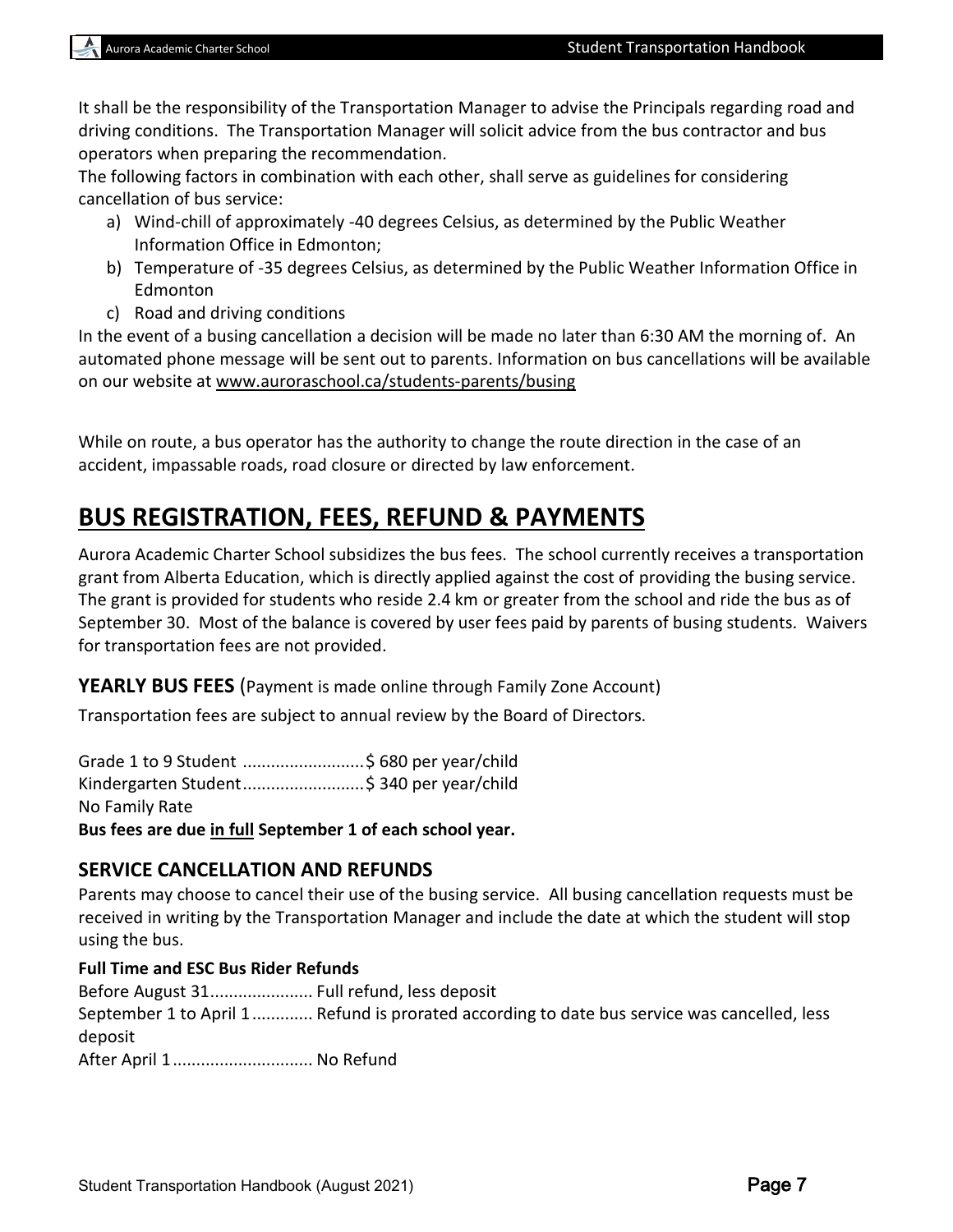It shall be the responsibility of the Transportation Manager to advise the Principals regarding road and driving conditions. The Transportation Manager will solicit advice from the bus contractor and bus operators when preparing the recommendation.

The following factors in combination with each other, shall serve as guidelines for considering cancellation of bus service:

- a) Wind-chill of approximately -40 degrees Celsius, as determined by the Public Weather Information Office in Edmonton;
- b) Temperature of -35 degrees Celsius, as determined by the Public Weather Information Office in Edmonton
- c) Road and driving conditions

In the event of a busing cancellation a decision will be made no later than 6:30 AM the morning of. An automated phone message will be sent out to parents. Information on bus cancellations will be available on our website at www.auroraschool.ca/students-parents/busing

While on route, a bus operator has the authority to change the route direction in the case of an accident, impassable roads, road closure or directed by law enforcement.

# **BUS REGISTRATION, FEES, REFUND & PAYMENTS**

Aurora Academic Charter School subsidizes the bus fees. The school currently receives a transportation grant from Alberta Education, which is directly applied against the cost of providing the busing service. The grant is provided for students who reside 2.4 km or greater from the school and ride the bus as of September 30. Most of the balance is covered by user fees paid by parents of busing students. Waivers for transportation fees are not provided.

**YEARLY BUS FEES** (Payment is made online through Family Zone Account)

Transportation fees are subject to annual review by the Board of Directors.

Grade 1 to 9 Student ..........................\$ 680 per year/child Kindergarten Student..........................\$ 340 per year/child No Family Rate **Bus fees are due in full September 1 of each school year.**

#### **SERVICE CANCELLATION AND REFUNDS**

Parents may choose to cancel their use of the busing service. All busing cancellation requests must be received in writing by the Transportation Manager and include the date at which the student will stop using the bus.

#### **Full Time and ESC Bus Rider Refunds**

| Before August 31 Full refund, less deposit |                                                                                             |
|--------------------------------------------|---------------------------------------------------------------------------------------------|
|                                            | September 1 to April 1 Refund is prorated according to date bus service was cancelled, less |
| deposit                                    |                                                                                             |
| After April 1 No Refund                    |                                                                                             |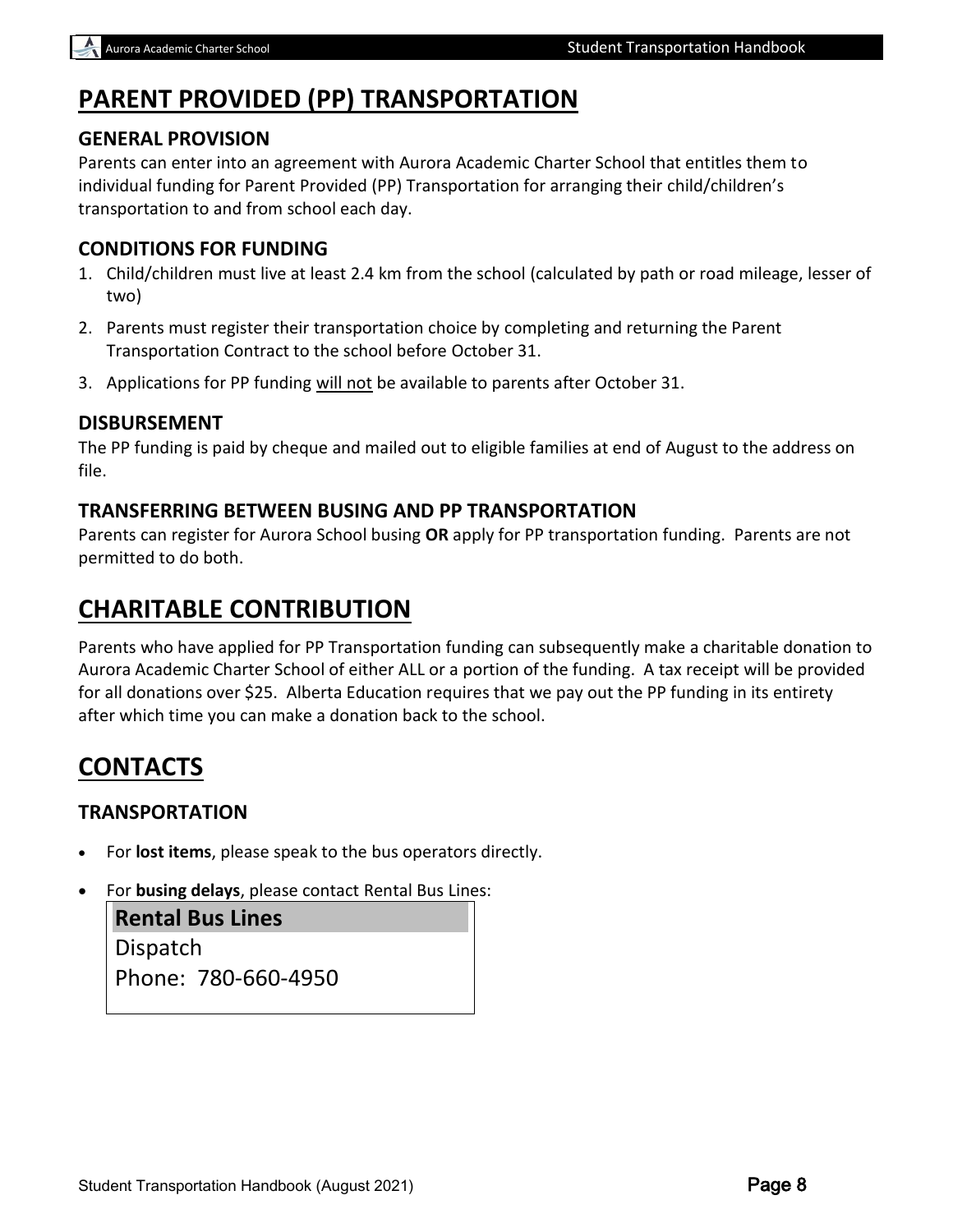# **PARENT PROVIDED (PP) TRANSPORTATION**

#### **GENERAL PROVISION**

Parents can enter into an agreement with Aurora Academic Charter School that entitles them to individual funding for Parent Provided (PP) Transportation for arranging their child/children's transportation to and from school each day.

#### **CONDITIONS FOR FUNDING**

- 1. Child/children must live at least 2.4 km from the school (calculated by path or road mileage, lesser of two)
- 2. Parents must register their transportation choice by completing and returning the Parent Transportation Contract to the school before October 31.
- 3. Applications for PP funding will not be available to parents after October 31.

#### **DISBURSEMENT**

The PP funding is paid by cheque and mailed out to eligible families at end of August to the address on file.

### **TRANSFERRING BETWEEN BUSING AND PP TRANSPORTATION**

Parents can register for Aurora School busing **OR** apply for PP transportation funding. Parents are not permitted to do both.

# **CHARITABLE CONTRIBUTION**

Parents who have applied for PP Transportation funding can subsequently make a charitable donation to Aurora Academic Charter School of either ALL or a portion of the funding. A tax receipt will be provided for all donations over \$25. Alberta Education requires that we pay out the PP funding in its entirety after which time you can make a donation back to the school.

# **CONTACTS**

## **TRANSPORTATION**

- For **lost items**, please speak to the bus operators directly.
- For **busing delays**, please contact Rental Bus Lines:

## **Rental Bus Lines**

Dispatch

Phone: 780-660-4950